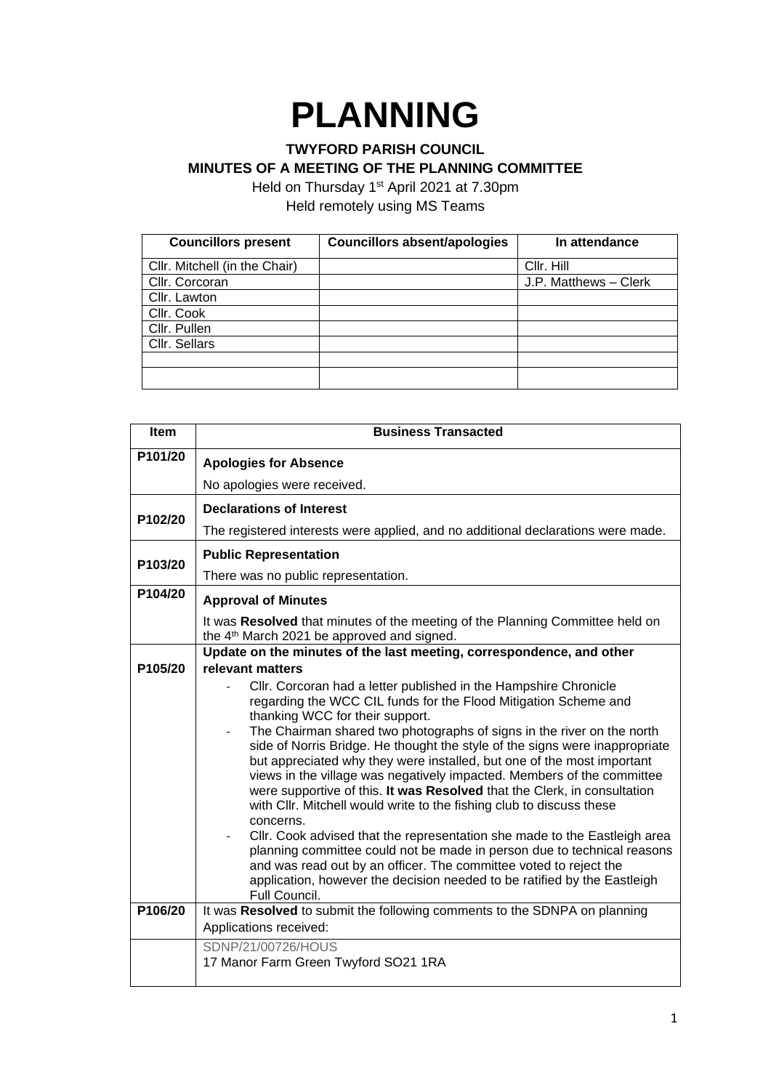## **PLANNING**

## **TWYFORD PARISH COUNCIL MINUTES OF A MEETING OF THE PLANNING COMMITTEE**

Held on Thursday 1<sup>st</sup> April 2021 at 7.30pm Held remotely using MS Teams

| <b>Councillors present</b>    | <b>Councillors absent/apologies</b> | In attendance         |
|-------------------------------|-------------------------------------|-----------------------|
| Cllr. Mitchell (in the Chair) |                                     | Cllr. Hill            |
| Cllr. Corcoran                |                                     | J.P. Matthews - Clerk |
| Cllr. Lawton                  |                                     |                       |
| Cllr. Cook                    |                                     |                       |
| Cllr. Pullen                  |                                     |                       |
| Cllr. Sellars                 |                                     |                       |
|                               |                                     |                       |
|                               |                                     |                       |

| <b>Item</b> | <b>Business Transacted</b>                                                                                                                                                                                                                                                                                                                                                                                                                                                                                                                                                                                                                                                                                                                                                                                                                                                                                                                                                     |
|-------------|--------------------------------------------------------------------------------------------------------------------------------------------------------------------------------------------------------------------------------------------------------------------------------------------------------------------------------------------------------------------------------------------------------------------------------------------------------------------------------------------------------------------------------------------------------------------------------------------------------------------------------------------------------------------------------------------------------------------------------------------------------------------------------------------------------------------------------------------------------------------------------------------------------------------------------------------------------------------------------|
| P101/20     | <b>Apologies for Absence</b>                                                                                                                                                                                                                                                                                                                                                                                                                                                                                                                                                                                                                                                                                                                                                                                                                                                                                                                                                   |
|             | No apologies were received.                                                                                                                                                                                                                                                                                                                                                                                                                                                                                                                                                                                                                                                                                                                                                                                                                                                                                                                                                    |
|             | <b>Declarations of Interest</b>                                                                                                                                                                                                                                                                                                                                                                                                                                                                                                                                                                                                                                                                                                                                                                                                                                                                                                                                                |
| P102/20     | The registered interests were applied, and no additional declarations were made.                                                                                                                                                                                                                                                                                                                                                                                                                                                                                                                                                                                                                                                                                                                                                                                                                                                                                               |
|             | <b>Public Representation</b>                                                                                                                                                                                                                                                                                                                                                                                                                                                                                                                                                                                                                                                                                                                                                                                                                                                                                                                                                   |
| P103/20     | There was no public representation.                                                                                                                                                                                                                                                                                                                                                                                                                                                                                                                                                                                                                                                                                                                                                                                                                                                                                                                                            |
| P104/20     | <b>Approval of Minutes</b>                                                                                                                                                                                                                                                                                                                                                                                                                                                                                                                                                                                                                                                                                                                                                                                                                                                                                                                                                     |
|             | It was Resolved that minutes of the meeting of the Planning Committee held on<br>the 4 <sup>th</sup> March 2021 be approved and signed.                                                                                                                                                                                                                                                                                                                                                                                                                                                                                                                                                                                                                                                                                                                                                                                                                                        |
|             | Update on the minutes of the last meeting, correspondence, and other                                                                                                                                                                                                                                                                                                                                                                                                                                                                                                                                                                                                                                                                                                                                                                                                                                                                                                           |
| P105/20     | relevant matters                                                                                                                                                                                                                                                                                                                                                                                                                                                                                                                                                                                                                                                                                                                                                                                                                                                                                                                                                               |
|             | Cllr. Corcoran had a letter published in the Hampshire Chronicle<br>regarding the WCC CIL funds for the Flood Mitigation Scheme and<br>thanking WCC for their support.<br>The Chairman shared two photographs of signs in the river on the north<br>side of Norris Bridge. He thought the style of the signs were inappropriate<br>but appreciated why they were installed, but one of the most important<br>views in the village was negatively impacted. Members of the committee<br>were supportive of this. It was Resolved that the Clerk, in consultation<br>with CIIr. Mitchell would write to the fishing club to discuss these<br>concerns.<br>Cllr. Cook advised that the representation she made to the Eastleigh area<br>planning committee could not be made in person due to technical reasons<br>and was read out by an officer. The committee voted to reject the<br>application, however the decision needed to be ratified by the Eastleigh<br>Full Council. |
| P106/20     | It was Resolved to submit the following comments to the SDNPA on planning<br>Applications received:                                                                                                                                                                                                                                                                                                                                                                                                                                                                                                                                                                                                                                                                                                                                                                                                                                                                            |
|             | SDNP/21/00726/HOUS<br>17 Manor Farm Green Twyford SO21 1RA                                                                                                                                                                                                                                                                                                                                                                                                                                                                                                                                                                                                                                                                                                                                                                                                                                                                                                                     |